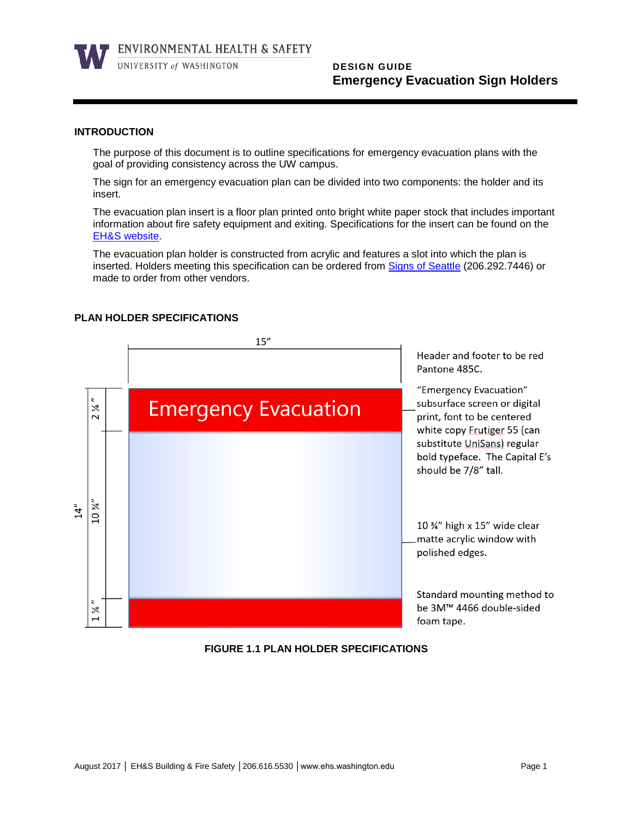

ENVIRONMENTAL HEALTH & SAFETY

UNIVERSITY of WASHINGTON

# **DESIGN GUIDE Emergency Evacuation Sign Holders**

### **INTRODUCTION**

The purpose of this document is to outline specifications for emergency evacuation plans with the goal of providing consistency across the UW campus.

The sign for an emergency evacuation plan can be divided into two components: the holder and its insert.

The evacuation plan insert is a floor plan printed onto bright white paper stock that includes important information about fire safety equipment and exiting. Specifications for the insert can be found on the [EH&S website.](http://www.ehs.washington.edu/)

The evacuation plan holder is constructed from acrylic and features a slot into which the plan is inserted. Holders meeting this specification can be ordered from [Signs of Seattle](https://signsofseattle.com/) (206.292.7446) or made to order from other vendors.

## **PLAN HOLDER SPECIFICATIONS**



**FIGURE 1.1 PLAN HOLDER SPECIFICATIONS**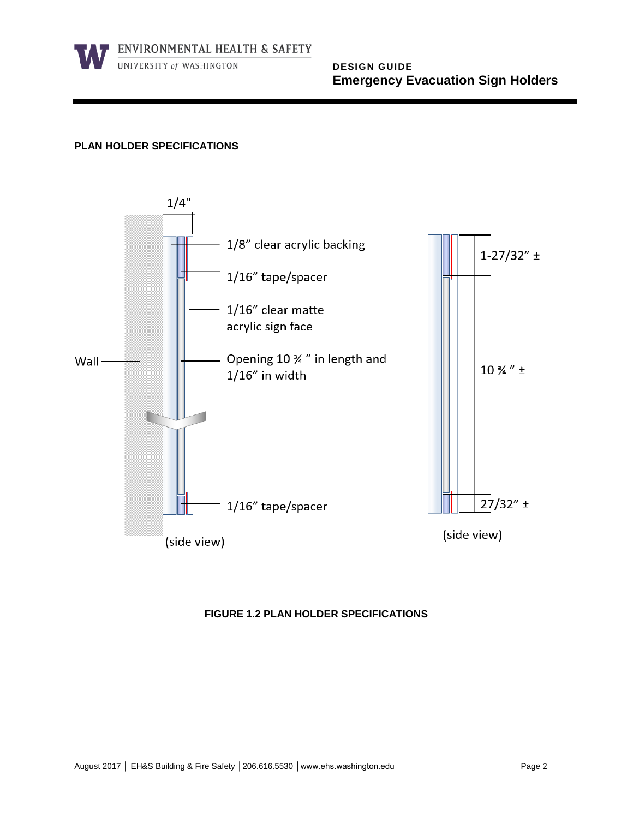ENVIRONMENTAL HEALTH & SAFETY

UNIVERSITY of WASHINGTON

 **DESIGN GUIDE Emergency Evacuation Sign Holders** 

## **PLAN HOLDER SPECIFICATIONS**



## **FIGURE 1.2 PLAN HOLDER SPECIFICATIONS**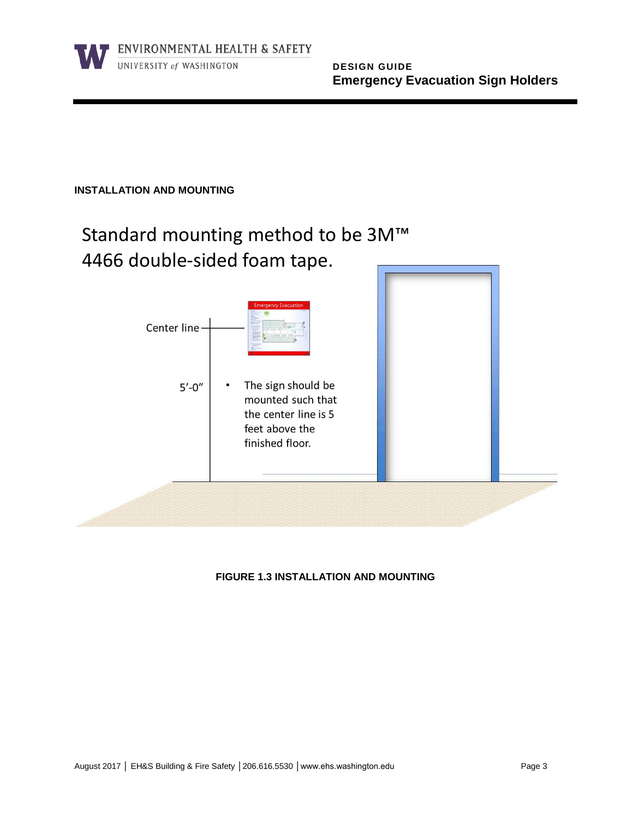

# **INSTALLATION AND MOUNTING**

# Standard mounting method to be 3M™ 4466 double-sided foam tape.



# **FIGURE 1.3 INSTALLATION AND MOUNTING**